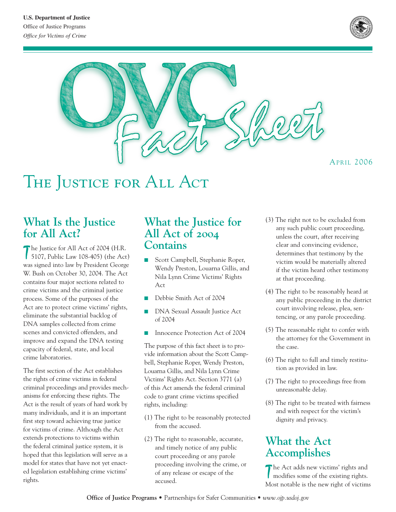



THE JUSTICE FOR ALL ACT

#### **What Is the Justice for All Act?**

The Justice for All Act of 2004 (H.R.<br>5107, Public Law 108-405) (the Act) The Justice for All Act of 2004 (H.R. was signed into law by President George W. Bush on October 30, 2004. The Act contains four major sections related to crime victims and the criminal justice process. Some of the purposes of the Act are to protect crime victims' rights, eliminate the substantial backlog of DNA samples collected from crime scenes and convicted offenders, and improve and expand the DNA testing capacity of federal, state, and local crime laboratories.

The first section of the Act establishes the rights of crime victims in federal criminal proceedings and provides mechanisms for enforcing these rights. The Act is the result of years of hard work by many individuals, and it is an important first step toward achieving true justice for victims of crime. Although the Act extends protections to victims within the federal criminal justice system, it is hoped that this legislation will serve as a model for states that have not yet enacted legislation establishing crime victims' rights.

## **What the Justice for All Act of 2004 Contains**

- Scott Campbell, Stephanie Roper, Wendy Preston, Louarna Gillis, and Nila Lynn Crime Victims' Rights Act
- Debbie Smith Act of 2004
- DNA Sexual Assault Justice Act of 2004
- Innocence Protection Act of 2004

The purpose of this fact sheet is to provide information about the Scott Campbell, Stephanie Roper, Wendy Preston, Louarna Gillis, and Nila Lynn Crime Victims' Rights Act. Section 3771 (a) of this Act amends the federal criminal code to grant crime victims specified rights, including:

- (1) The right to be reasonably protected from the accused.
- (2) The right to reasonable, accurate, and timely notice of any public court proceeding or any parole proceeding involving the crime, or of any release or escape of the accused.
- (3) The right not to be excluded from any such public court proceeding, unless the court, after receiving clear and convincing evidence, determines that testimony by the victim would be materially altered if the victim heard other testimony at that proceeding.
- (4) The right to be reasonably heard at any public proceeding in the district court involving release, plea, sentencing, or any parole proceeding.
- (5) The reasonable right to confer with the attorney for the Government in the case.
- (6) The right to full and timely restitution as provided in law.
- (7) The right to proceedings free from unreasonable delay.
- (8) The right to be treated with fairness and with respect for the victim's dignity and privacy.

## **What the Act Accomplishes**

The Act adds new victims' rights and<br>modifies some of the existing rights. modifies some of the existing rights. Most notable is the new right of victims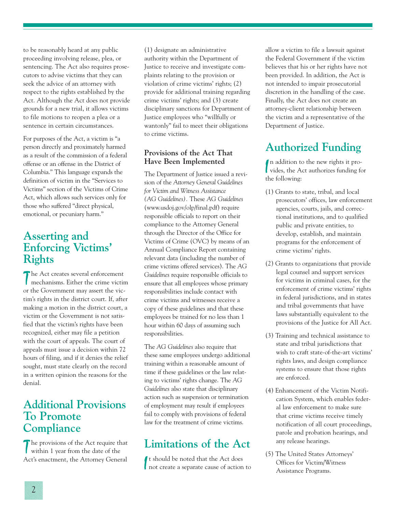to be reasonably heard at any public proceeding involving release, plea, or sentencing. The Act also requires prosecutors to advise victims that they can seek the advice of an attorney with respect to the rights established by the Act. Although the Act does not provide grounds for a new trial, it allows victims to file motions to reopen a plea or a sentence in certain circumstances.

For purposes of the Act, a victim is "a person directly and proximately harmed as a result of the commission of a federal offense or an offense in the District of Columbia." This language expands the definition of victim in the "Services to Victims" section of the Victims of Crime Act, which allows such services only for those who suffered "direct physical, emotional, or pecuniary harm."

## **Asserting and Enforcing Victims' Rights**

The Act creates several enforcement<br>mechanisms. Either the crime victim The Act creates several enforcement or the Government may assert the victim's rights in the district court. If, after making a motion in the district court, a victim or the Government is not satisfied that the victim's rights have been recognized, either may file a petition with the court of appeals. The court of appeals must issue a decision within 72 hours of filing, and if it denies the relief sought, must state clearly on the record in a written opinion the reasons for the denial.

## **Additional Provisions To Promote Compliance**

The provisions of the Act require the within 1 year from the date of the The provisions of the Act require that Act's enactment, the Attorney General (1) designate an administrative authority within the Department of Justice to receive and investigate complaints relating to the provision or violation of crime victims' rights; (2) provide for additional training regarding crime victims' rights; and (3) create disciplinary sanctions for Department of Justice employees who "willfully or wantonly" fail to meet their obligations to crime victims.

#### **Provisions of the Act That Have Been Implemented**

The Department of Justice issued a revision of the *Attorney General Guidelines for Victim and Witness Assistance (AG Guidelines).* These *AG Guidelines* (www.usdoj.gov/olp/final.pdf) require responsible officials to report on their compliance to the Attorney General through the Director of the Office for Victims of Crime (OVC) by means of an Annual Compliance Report containing relevant data (including the number of crime victims offered services). The *AG Guidelines* require responsible officials to ensure that all employees whose primary responsibilities include contact with crime victims and witnesses receive a copy of these guidelines and that these employees be trained for no less than 1 hour within 60 days of assuming such responsibilities.

The *AG Guidelines* also require that these same employees undergo additional training within a reasonable amount of time if these guidelines or the law relating to victims' rights change. The *AG Guidelines* also state that disciplinary action such as suspension or termination of employment may result if employees fail to comply with provisions of federal law for the treatment of crime victims.

## **Limitations of the Act**

If the should be noted that the Act does<br>not create a separate cause of action to t should be noted that the Act does

allow a victim to file a lawsuit against the Federal Government if the victim believes that his or her rights have not been provided. In addition, the Act is not intended to impair prosecutorial discretion in the handling of the case. Finally, the Act does not create an attorney-client relationship between the victim and a representative of the Department of Justice.

# **Authorized Funding**

In addition to the new rights it provides, the Act authorizes funding for n addition to the new rights it prothe following:

- (1) Grants to state, tribal, and local prosecutors' offices, law enforcement agencies, courts, jails, and correctional institutions, and to qualified public and private entities, to develop, establish, and maintain programs for the enforcement of crime victims' rights.
- (2) Grants to organizations that provide legal counsel and support services for victims in criminal cases, for the enforcement of crime victims' rights in federal jurisdictions, and in states and tribal governments that have laws substantially equivalent to the provisions of the Justice for All Act.
- (3) Training and technical assistance to state and tribal jurisdictions that wish to craft state-of-the-art victims' rights laws, and design compliance systems to ensure that those rights are enforced.
- (4) Enhancement of the Victim Notification System, which enables federal law enforcement to make sure that crime victims receive timely notification of all court proceedings, parole and probation hearings, and any release hearings.
- (5) The United States Attorneys' Offices for Victim/Witness Assistance Programs.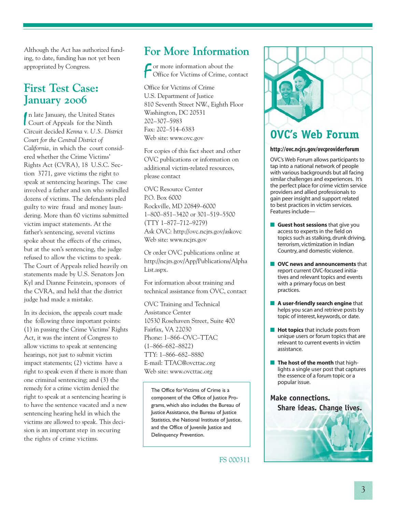Although the Act has authorized funding, to date, funding has not yet been appropriated by Congress.

## **First Test Case: January 2006**

In late January, the United States<br>
Court of Appeals for the Ninth Court of Appeals for the Ninth Circuit decided *Kenna* v. *U.S. District Court for the Central District of California,* in which the court considered whether the Crime Victims' Rights Act (CVRA), 18 U.S.C. Section 3771, gave victims the right to speak at sentencing hearings. The case involved a father and son who swindled dozens of victims. The defendants pled guilty to wire fraud and money laundering. More than 60 victims submitted victim impact statements. At the father's sentencing, several victims spoke about the effects of the crimes, but at the son's sentencing, the judge refused to allow the victims to speak. The Court of Appeals relied heavily on statements made by U.S. Senators Jon Kyl and Dianne Feinstein, sponsors of the CVRA, and held that the district judge had made a mistake.

In its decision, the appeals court made the following three important points: (1) in passing the Crime Victims' Rights Act, it was the intent of Congress to allow victims to speak at sentencing hearings, not just to submit victim impact statements; (2) victims have a right to speak even if there is more than one criminal sentencing; and (3) the remedy for a crime victim denied the right to speak at a sentencing hearing is to have the sentence vacated and a new sentencing hearing held in which the victims are allowed to speak. This decision is an important step in securing the rights of crime victims.

## **For More Information**

F or more information about the Office for Victims of Crime, contact

Office for Victims of Crime U.S. Department of Justice 810 Seventh Street NW., Eighth Floor Washington, DC 20531 202–307–5983 Fax: 202–514–6383 Web site: www.ovc.gov

For copies of this fact sheet and other OVC publications or information on additional victim-related resources, please contact

OVC Resource Center P.O. Box 6000 Rockville, MD 20849–6000 1–800–851–3420 or 301–519–5500 (TTY 1–877–712–9279) Ask OVC: http://ovc.ncjrs.gov/askovc Web site: www.ncjrs.gov

Or order OVC publications online at http://ncjrs.gov/App/Publications/Alpha List.aspx.

For information about training and technical assistance from OVC, contact

OVC Training and Technical Assistance Center 10530 Rosehaven Street, Suite 400 Fairfax, VA 22030 Phone: 1–866–OVC–TTAC (1–866–682–8822) TTY: 1–866–682–8880 E-mail: TTAC@ovcttac.org Web site: www.ovcttac.org

The Office for Victims of Crime is a component of the Office of Justice Programs, which also includes the Bureau of Justice Assistance, the Bureau of Justice Statistics, the National Institute of Justice, and the Office of Juvenile Justice and Delinquency Prevention.

FS 000311



## **OVC's Web Forum**

#### **http://ovc.ncjrs.gov/ovcproviderforum**

OVC's Web Forum allows participants to tap into a national network of people with various backgrounds but all facing similar challenges and experiences. It's the perfect place for crime victim service providers and allied professionals to gain peer insight and support related to best practices in victim services. Features include—

- **Guest host sessions** that give you access to experts in the field on topics such as stalking, drunk driving, terrorism, victimization in Indian Country, and domestic violence.
- **OVC news and announcements** that report current OVC-focused initiatives and relevant topics and events with a primary focus on best practices.
- **A user-friendly search engine** that helps you scan and retrieve posts by topic of interest, keywords, or date.
- **Hot topics** that include posts from unique users or forum topics that are relevant to current events in victim assistance.
- **The host of the month** that highlights a single user post that captures the essence of a forum topic or a popular issue.